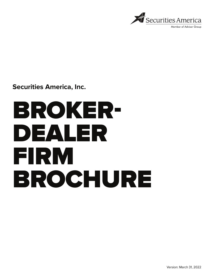

Member of Advisor Group

**Securities America, Inc.**

# BROKER-DEALER FIRM BROCHURE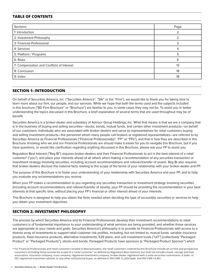# **TABLE OF CONTENTS**

| Sections                                  | Page |
|-------------------------------------------|------|
| 1: Introduction                           |      |
| 2: Investment Philosophy                  |      |
| 3: Financial Professional                 |      |
| 4: Services                               | 4    |
| 5: Platform / Programs                    | 5    |
| 6: Risks                                  | 6    |
| 7: Compensation and Conflicts of Interest | 13   |
| 8: Conclusion                             | 18   |
| 9: Index                                  | 18   |

# **SECTION 1: INTRODUCTION**

On behalf of Securities America, Inc. ("Securities America", "SAI" or the "Firm"), we would like to thank you for taking time to learn more about our firm, our people, and our services. While we hope that both the terms used and the subjects included in this brochure ("BD Firm Brochure" or "Brochure") are familiar to you, in some cases they may not be. To assist you in better understanding the topics discussed in this Brochure, a brief explanation of several terms that are used throughout may be of benefit.

Securities America is a broker-dealer and subsidiary of Advisor Group Holdings, Inc. What that means is that we are a company that is in the business of buying and selling securities—stocks, bonds, mutual funds, and certain other investment products—on behalf of our customers. Individuals who are associated with broker-dealers and serve as representatives for retail customers buying and selling investment products—the personnel whom many people call brokers or registered representatives—are referred to by Securities America as Financial Professionals ("Financial Professional(s)", "FP" or "FPs"), and that is how they are described in this Brochure. Knowing who we and our Financial Professionals are should make it easier for you to navigate this Brochure, but if you have questions, or would like clarification regarding anything discussed in this Brochure, please ask your FP to assist you.

Regulation Best Interest ("Reg BI") requires broker-dealers and their Financial Professionals to act in the best interest of a retail customer\* ("you"), and place your interests ahead of all others when making a recommendation of any securities transaction or investment strategy involving securities, including account recommendations and rollover/transfer of assets. Reg BI also requires that broker-dealers disclose the material facts relating to the scope of the terms of your relationship with your broker-dealer and FP.

The purpose of this Brochure is to foster your understanding of your relationship with Securities America and your FP, and to help you evaluate any recommendations you receive.

When your FP makes a recommendation to you regarding any securities transaction or investment strategy involving securities (including account recommendations and rollover/transfer of assets), your FP should be providing the recommendation in your best interests at that specific time, without placing your FP's financial or other interest ahead of your interests.

This Brochure is designed to help you obtain the facts needed when deciding the type of account(s), securities or services to help you obtain your investment objectives.

# **SECTION 2: INVESTMENT PHILOSOPHY**

The process by which Securities America and its Financial Professionals develop their investment recommendations to retail customers is of fundamental importance to your understanding of what services are being provided, and whether those services are appropriate to your needs and goals. Securities America's philosophy is to provide its Financial Professionals with access to a diverse array of investments to support retail customer risk profiles, including, but not limited to, mutual funds, variable insurance products, fixed insurance products, alternative investments, 529 plans, and unit investment trusts ("UIT") (collectively "Packaged Product" or "Packaged Products"), stocks and bonds. Packaged Products have sponsors (a "Packaged Product Sponsor") which

<sup>\*</sup> For Financial Professionals and retail customers located in Massachusetts, the retail customers covered by this Brochure include all current and prospective customers (including those outside the scope of a "retail customer" as defined by Regulation Best Interest), but shall not include a bank, savings and loan association, insurance company, trust company, registered investment company, broker-dealer registered with a state securities commission, a State- or SEC-registered investment adviser, or any other institutional buyer, as defined in 950 CMR 12.205(1)(a)6. and 950 CMR 14.401.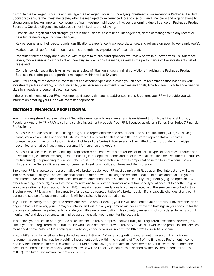distribute the Packaged Products and manage the Packaged Product's underlying investments. We review our Packaged Product Sponsors to ensure the investments they offer are managed by experienced, cost conscious, and financially and organizationally strong companies. An important component of our investment philosophy involves performing due diligence on Packaged Product Sponsors. Our due diligence includes, but is not limited to, the following:

- Financial and organizational strength (years in the business, assets under management, depth of management, any recent or near future major organizational changes);
- Key personnel and their backgrounds, qualifications, experience, track records, tenure, and reliance on specific key employee(s);
- Market research performed in-house and the strength and experience of research staff;
- Investment methodology (for example, with respect to mutual fund sponsors, we review portfolio turnover rates, risk tolerance levels, models used/indicators tracked, how buy/sell decisions are made, as well as the performance of the investments net of fees); and,
- Compliance with securities laws as well as a review of litigation and/or criminal convictions involving the Packaged Product Sponsor, their principals and portfolio managers within the last 10 years.

Your FP will analyze the available investments and account types and provide you an account recommendation based on your investment profile including, but not limited to, your personal investment objectives and goals, time horizon, risk tolerance, financial situation, needs and personal circumstances.

If there are elements of your FP's investment philosophy that are not addressed in this Brochure, your FP will provide you with information detailing your FP's own investment approach.

# **SECTION 3: FINANCIAL PROFESSIONAL**

Your FP is a registered representative of Securities America, a broker-dealer, and is registered through the Financial Industry Regulatory Authority ("FINRA") to sell and service investment products. Your FP is licensed as either a Series 6 or Series 7 Financial Professional.

- Series 6 is a securities license entitling a registered representative of a broker-dealer to sell mutual funds, UITs, 529 savings plans, variable annuities and variable life insurance. For providing this service the registered representative receives compensation in the form of a commission. Holders of the Series 6 license are not permitted to sell corporate or municipal securities, alternative investment programs, life insurance and options.
- Series 7 is a securities license entitling a registered representative of a broker-dealer to sell all types of securities products and investments (i.e. stocks, Exchange Traded Funds ("ETF"), options, bonds and other individual fixed income investments, annuities, mutual funds). For providing this service, the registered representative receives compensation in the form of a commission. Holders of the Series 7 license are not permitted to sell commodities, futures and life insurance.

Since your FP is a registered representative of a broker-dealer, your FP must comply with Regulation Best Interest and will take into consideration all types of accounts that could be offered when making the recommendation of an account that is in your best interest. Account recommendations include recommendations of securities account types generally (e.g., to open an IRA or other brokerage account), as well as recommendations to roll over or transfer assets from one type of account to another (e.g., a workplace retirement plan account to an IRA). In making recommendations to you associated with the services described in this Brochure, your FP is acting in the capacity of a registered representative of a broker-dealer. If this capacity changes at any point during the course of a recommendation, it will be disclosed to you at that time.

In your FP's capacity as a registered representative of a broker-dealer, your FP will not monitor your portfolio or investments on an ongoing basis. However, your FP may voluntarily, and without any agreement with you, review the holdings in your account for the purposes of determining whether to provide you with a recommendation. This voluntary review is not considered to be "account monitoring," and does not create an implied agreement with you to monitor the account.

In addition, your FP could be registered as an investment adviser representative ("IAR") of a registered investment adviser ("RIA") firm. If your FP is registered as an IAR, the FP would also be able to provide advisory services as well as the products and services mentioned above. When a FP is acting in an advisory capacity, you will receive the RIA firm's Form ADV brochure.

In your FP's capacity, as either a Registered Representative or IAR, when supporting a retirement plan account or individual retirement account, they may be providing investment advice within the meaning of Title 1 of the Employee Retirement Income Security Act and/or the Internal Revenue Code ("Retirement Laws") as it relates to investments and/or asset transfers from one account to another. In this capacity, your FP's advice will be fiduciary in nature as described by the US Department of Labor's ("DOL") Prohibited Transaction Exemption 2020-02.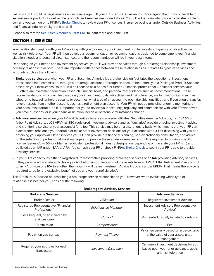Lastly, your FP could be registered as an insurance agent. If your FP is registered as an insurance agent, the FP would be able to sell insurance products as well as the products and services mentioned above. Your FP will explain what products he/she is able to sell, and you can log onto FINRA's **[BrokerCheck](https://brokercheck.finra.org/)**, to review your FP's licenses, insurance business under Outside Business Activities, and financial industry background as well.

Please also refer to **[Securities America's Form CRS](https://www.securitiesamerica.com/form-crs)** to learn more about the Firm.

# **SECTION 4: SERVICES**

Your relationship begins with your FP working with you to identify your investment profile (investment goals and objectives, as well as risk tolerance). Your FP will then develop a recommendation or recommendations designed to complement your financial situation, needs and personal circumstances, and the recommendation will be in your best interest.

Depending on your needs and investment objectives, your FP will provide services through a brokerage relationship, investment advisory relationship or both. There are important differences between these relationships as it relates to types of services and accounts, such as the following:

- **• Brokerage services** are when your FP and Securities America (as a broker-dealer) facilitates the execution of investment transactions for a commission, through a brokerage account or through an account held directly at a Packaged Product Sponsor, based on your instructions. Your FP will be licensed as a Series 6 or Series 7 financial professional. Additional services your FP offers are investment education, research, financial tools, and personalized guidance such as recommendations. These recommendations, which will be based on your investment goals, objectives, and risk tolerance, are focused on items such as whether to buy, sell or hold a security or securities, what type of an account to open (taxable, qualified), and if you should transfer/ rollover assets from another account, such as a retirement plan account. Your FP will not be providing ongoing monitoring of your account(s) portfolio, so it is important for you to review your account(s) regularly and communicate with your FP whenever you have questions, or if your financial situation, needs or personal circumstances change.
- **• Advisory services** are when your FP and Securities America's advisory affiliates, Securities America Advisors, Inc. ("SAA") or Arbor Point Advisors, LLC ("APA") (as SEC registered investment advisers and as fiduciaries) provide ongoing investment advice and monitoring service of your account(s) for a fee. This service may be on a discretionary basis, which means that your FP can place trades, rebalance your portfolio or make other investment decisions for your account without first discussing with you and obtaining your approval. Other services your FP can provide are financial planning, non-discretionary consultation, and advice on the selection of professional asset managers. To provide these advisory services, your FP is required to obtain a specific license (Series 65 or 66) or obtain an equivalent professional industry designation (depending on the state your FP is in) and be listed as an IAR under SAA or APA. You can ask your FP or check FINRA's **[BrokerCheck](https://brokercheck.finra.org/)** to see if your FP is able to provide advisory services.
- In your FP's capacity, as either a Registered Representative providing brokerage services or an IAR providing advisory services, if they provide advice related to taking a distribution and/or investing of the assets from an ERISA Title I Retirement Plan account to an IRA or from one IRA to another, then your FP will be an Investment Advice Fiduciary under ERISA. That means the advice is required to be for the exclusive benefit of you and your beneficiary(ies).

This Brochure is focused on describing a brokerage service relationship to you. However, when evaluating which type of relationship is best for you, consider the following:

| <b>Brokerage vs Advisory Services</b>                 |                              |                                                                                                      |  |  |  |  |
|-------------------------------------------------------|------------------------------|------------------------------------------------------------------------------------------------------|--|--|--|--|
| <b>Brokerage Services</b>                             |                              | <b>Advisory Services</b>                                                                             |  |  |  |  |
| Broker-Dealer                                         | Affiliation                  | Registered Investment Advisor                                                                        |  |  |  |  |
| Registered Representative "Financial<br>Professional" | <b>Relationship Manager</b>  |                                                                                                      |  |  |  |  |
| Less frequent, often initiated by<br>retail customer  | Contact                      | As needed, usually initiated by Advisor                                                              |  |  |  |  |
| Commission                                            | Compensation                 | Fee                                                                                                  |  |  |  |  |
| Pay when you transact                                 | <b>Payment Timing</b>        | Pay a fee usually based on a percentage<br>of the value of your assets under<br>management           |  |  |  |  |
| Requires your approval for each<br>transaction        | <b>Investment Discretion</b> | Can make investment decisions for you<br>based upon your prior guidance, goals<br>and risk tolerance |  |  |  |  |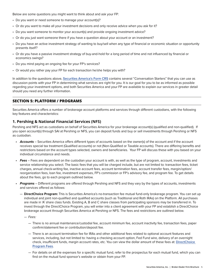Below are some questions you might want to think about and ask your FP:

- Do you want or need someone to manage your account(s)?
- Or do you want to make all your investment decisions and only receive advice when you ask for it?
- Do you want someone to monitor your account(s) and provide ongoing investment advice?
- Or do you just want someone there if you have a question about your account or an investment?
- Do you have an active investment strategy of wanting to buy/sell when any type of financial or economic situation or opportunity presents itself?
- Or do you have a passive investment strategy of buy-and-hold for a long period of time and not influenced by financial or economics swings?
- Do you mind paying an ongoing fee for your FP's services?
- Or would you rather pay your FP for each transaction he/she helps you with?

In addition to the questions above, **[Securities America's Form CRS](https://www.securitiesamerica.com/form-crs)** contains several "Conversation Starters" that you can use as discussion points with your FP in determining what services are right for you. It is our goal for you to be as informed as possible regarding your investment options, and both Securities America and your FP are available to explain our services in greater detail should you need any further information.

# **SECTION 5: PLATFORM / PROGRAMS**

Securities America offers a number of brokerage account platforms and services through different custodians, with the following key features and characteristics:

## **1. Pershing & National Financial Services (NFS)**

Pershing and NFS act as custodians on behalf of Securities America for your brokerage account(s) (qualified and non-qualified). If you open account(s) through SAI at Pershing or NFS, you can deposit funds and buy or sell investments through Pershing or NFS as custodian.

- **• Accounts** Securities America offers different types of accounts based on the owner(s) of the account and if the account receives special tax treatment (Qualified accounts) or not (Non-Qualified or Taxable accounts). There are differing benefits and restrictions based on the account types selected, owners and beneficiaries. Your FP will discuss these with you based on your individual circumstance and needs.
- **• Fees** Fees are dependent on the custodian your account is with, as well as the type of program, account, investments and service relationship you select. The basic fees that you will be charged include, but are not limited to: transaction fees, ticket charges, annual check-writing fee, inactive account fees, account termination fees, account transfer fees, margin/option/ reorganization fees, loan fee, investment expenses, FP's commission or FP's advisory fee, and program fee. To get details about the fees, go to each program outlined below.
- **• Programs** Different programs are offered through Pershing and NFS and they vary by the types of accounts, investments and services offered as follows:
	- **DirectChoice Program:** This is Securities America's no-transaction fee mutual fund-only brokerage program. You can set up individual and joint non-qualified and qualified accounts (such as Traditional and Roth IRAs) on the Platform. All purchases are made in 'A' share class funds. Existing A, B and C share classes from participating sponsors may be transferred in. To invest through the DirectChoice Program, you will enter into a client agreement with your FP and establish a DirectChoice brokerage account through Securities America at Pershing or NFS. The fees and restrictions are outlined below.
		- Fees:
			- There is no annual maintenance/custodial fee, account minimum fee, account inactivity fee, transaction fees, paper confirm/statement fee or contribution/deposit fee.
			- There is an account termination fee for IRAs and other additional fees related to optional account features and services, including, but not limited to: having a checking account option, Fed Fund wire, delivery of an overnight check, insufficient funds, margin account rates, etc. You can view the dollar amount of these fees at: **[DirectChoice](https://www.securitiesamerica.com/uploads/07/11/SAI-DirectChoice-Client-Fee-Schedule.pdf)  [Program Fees](https://www.securitiesamerica.com/uploads/07/11/SAI-DirectChoice-Client-Fee-Schedule.pdf)**.
			- For details on all the expenses for a specific mutual fund, refer to the prospectus for each mutual fund, which you can find on the mutual fund sponsor's website or obtain from your FP.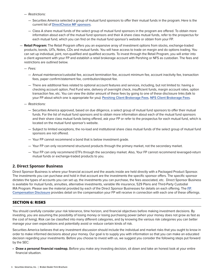- Restrictions:
	- Securities America selected a group of mutual fund sponsors to offer their mutual funds in the program. Here is the current list of **[DirectChoice MF sponsors](https://www.securitiesamerica.com/uploads/07/11/SAI-DirectChoice-Client-Fee-Schedule.pdf)**.
	- Class A share mutual funds of the select group of mutual fund sponsors in the program are offered. To obtain more information about each of the mutual fund sponsors and their A share class mutual funds, refer to the prospectus for each mutual fund, which you can find on the mutual fund sponsor's website or obtain from your FP.
- **Retail Program:** The Retail Program offers you an expansive array of investment options from stocks, exchange-traded products, bonds, UITs, Notes, CDs and mutual funds. You will have access to trade on margin and do options trading. You can set up individual, joint, non-qualified and qualified accounts. To invest through the Retail Program, you will enter into a client agreement with your FP and establish a retail brokerage account with Pershing or NFS as custodian. The fees and restrictions are outlined below.

— Fees:

- Annual maintenance/custodial fee, account termination fee, account minimum fee, account inactivity fee, transaction fees, paper confirm/statement fee, contribution/deposit fee.
- There are additional fees related to optional account features and services, including, but not limited to: having a checking account option, Fed Fund wire, delivery of overnight check, insufficient funds, margin account rates, option transaction fee, etc. You can view the dollar amount of these fees by going to one of these disclosure links (talk to your FP about which one is appropriate for you): **[Pershing Client Brokerage Fees](http://www.securitiesamerica.com/Pershing-Fees)**, **[NFS Client Brokerage Fees](http://www.securitiesamerica.com/nfs-fees)**.
- Restrictions:
	- Securities America approved, based on due diligence, a select group of mutual fund sponsors to offer their mutual funds. For the list of mutual fund sponsors and to obtain more information about each of the mutual fund sponsors and their share class mutual funds being offered, ask your FP or refer to the prospectus for each mutual fund, which is located on the mutual fund sponsor's website.
	- Subject to limited exceptions, the no-load and institutional share class mutual funds of the select group of mutual fund sponsors are not offered.
	- Your FP cannot recommend a bond that is below investment grade.
	- Your FP can only recommend structured products through the primary market, not the secondary market.
	- Your FP can only recommend ETFs through the secondary market. Also, Your FP cannot recommend leveraged-return mutual funds or exchange-traded products to you.

# **2. Direct Sponsor Business**

Direct Sponsor Business is where your financial account and the assets inside are held directly with a Packaged Product Sponsor. The investments you can purchase and hold in that account are the investments the specific sponsor offers. The specific sponsor dictates the types of accounts you can set up, the investments you can purchase, the fees associated, etc. Direct Sponsor Business is available for mutual funds, annuities, alternative investments, variable life insurance, 529 Plans and Third-Party Custodial IRA Program. Please see the material provided by each of the Direct Sponsor Businesses for details on each offering. The **[FP](http://www.securitiesamerica.com/fp-comp)  [Compensation Disclosure](http://www.securitiesamerica.com/fp-comp)** provides detail on the compensation your FP will receive in connection with each one of these offerings.

# **SECTION 6: RISKS**

You should carefully consider your risk tolerance, time horizon, and financial objectives before making investment decisions. By investing, you are assuming the possibility of losing money or losing purchasing power (when your money does not grow as fast as the cost of living). Risk can be classified into many different categories, and by knowing the various risk categories you can better manage your own expectations and potentially avoid or reduce certain kinds of risk.

Securities America believes that any investment discussion should include the individual and market risks that you ought to know in order to make informed decisions about your money. Our goal is to supply you with information so that you can make an educated decision regarding your investments. Before you choose to invest with us, we suggest you consider the following steps put forward by the SEC:

**• Draw a personal financial roadmap.** Before you make any investing decision, sit down and take an honest look at your entire financial situation.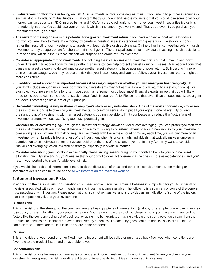- **• Evaluate your comfort zone in taking on risk.** All investments involve some degree of risk. If you intend to purchase securities such as stocks, bonds, or mutual funds - it's important that you understand before you invest that you could lose some or all your money. Unlike deposits at FDIC-insured banks and NCUA-insured credit unions, the money you invest in securities typically is not federally insured. You could lose your principal, which is the amount you've invested. That's true even if you purchase your investments through a bank.
- **• The reward for taking on risk is the potential for a greater investment return.** If you have a financial goal with a long-time horizon, you are likely to make more money by carefully investing in asset categories with greater risk, like stocks or bonds, rather than restricting your investments to assets with less risk, like cash equivalents. On the other hand, investing solely in cash investments may be appropriate for short-term financial goals. The principal concern for individuals investing in cash equivalents is inflation risk, which is the risk that inflation will outpace and erode returns over time.
- **• Consider an appropriate mix of investments.** By including asset categories with investment returns that move up and down under different market conditions within a portfolio, an investor can help protect against significant losses. Market conditions that cause one asset category to do well may cause another asset category to have average or poor returns. By investing in more than one asset category, you may reduce the risk that you'll lose money and your portfolio's overall investment returns might be more consistent.
- **• In addition, asset allocation is important because it has major impact on whether you will meet your financial goal(s).** If you don't include enough risk in your portfolio, your investments may not earn a large enough return to meet your goal(s). For example, if you are saving for a long-term goal, such as retirement or college, most financial experts agree that you will likely need to include at least some stock or stock mutual funds in your portfolio. Please note that diversification does not assure a gain nor does it protect against a loss of your principal.
- **• Be careful if investing heavily in shares of employer's stock or any individual stock.** One of the most important ways to lessen the risks of investing is to diversify your investments. It's common sense: don't put all your eggs in one basket. By picking the right group of investments within an asset category, you may be able to limit your losses and reduce the fluctuations of investment returns without sacrificing too much potential gain.
- **• Consider dollar-cost averaging.** Through the investment strategy known as "dollar-cost averaging," you can protect yourself from the risk of investing all your money at the wrong time by following a consistent pattern of adding new money to your investment over a long period of time. By making regular investments with the same amount of money each time, you will buy more of an investment when its price is low and less of the investment when its price is high. Individuals that typically make a lump-sum contribution to an individual retirement account either at the end of the calendar year or in early April may want to consider "dollar-cost averaging" as an investment strategy, especially in a volatile market.
- **• Consider rebalancing your portfolio occasionally.** "Rebalancing" means bringing your portfolio back to your original asset allocation mix. By rebalancing, you'll ensure that your portfolio does not overemphasize one or more asset categories, and you'll return your portfolio to a comfortable level of risk.

If you would like additional information, a more in-depth discussion of these and other risk considerations when making an investment decision can be found on the **[SEC's Information for Investors website](https://www.sec.gov/investor/pubs/tenthingstoconsider.htm)**.

# **1. General Investment Risks**

In addition to the personal risk considerations discussed above, Securities America believes it is important for you to understand the risks associated with each recommendation and investment type available. The following is a summary of some of the general risks associated with investing. Please note that this list is not exhaustive, and is provided as an indication of some of the factors that can impact the value of your investments:

## **Business risk**

This is the risk that the strength of the company you are buying a piece of ownership in (a stock, for example) or are loaning money to (a bond, for example) affects your potential returns. Your returns from the stock purchase or bond purchase are influenced by factors like the company going out of business, or going into bankruptcy, or having a viable and strong revenue stream from the products or services it sells that is not over-shadowed by expenses. If a company goes bankrupt and its assets are liquidated, common stockholders are the last in line to share in the proceeds.

## **Call risk**

This is the risk that your bond or other fixed-income investment will be called or purchased back from you when conditions are favorable to the product issuer and unfavorable to you.

## **Concentration risk**

This is the risk of loss because your money is concentrated in one investment or type of investment. When you diversify your investments, you spread the risk over different types of investments, industries and geographic locations.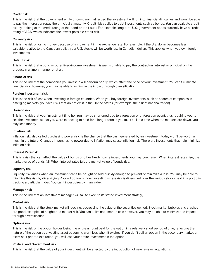## **Credit risk**

This is the risk that the government entity or company that issued the investment will run into financial difficulties and won't be able to pay the interest or repay the principal at maturity. Credit risk applies to debt investments such as bonds. You can evaluate credit risk by looking at the credit rating of the bond or the issuer. For example, long-term U.S. government bonds currently have a credit rating of AAA, which indicates the lowest possible credit risk.

### **Currency risk**

This is the risk of losing money because of a movement in the exchange rate. For example, if the U.S. dollar becomes less valuable relative to the Canadian dollar, your U.S. stocks will be worth less in Canadian dollars. This applies when you own foreign investments.

#### **Default risk**

This is the risk that a bond or other fixed-income investment issuer is unable to pay the contractual interest or principal on the product in a timely manner or at all.

#### **Financial risk**

This is the risk that the companies you invest in will perform poorly, which affect the price of your investment. You can't eliminate financial risk; however, you may be able to minimize the impact through diversification.

#### **Foreign Investment risk**

This is the risk of loss when investing in foreign countries. When you buy foreign investments, such as shares of companies in emerging markets, you face risks that do not exist in the United States (for example, the risk of nationalization).

#### **Horizon risk**

This is the risk that your investment time horizon may be shortened due to a foreseen or unforeseen event, thus requiring you to sell the investment(s) that you were expecting to hold for a longer term. If you must sell at a time when the markets are down, you may lose money.

#### **Inflation risk**

Inflation risk, also called purchasing power risk, is the chance that the cash generated by an investment today won't be worth as much in the future. Changes in purchasing power due to inflation may cause inflation risk. There are investments that help minimize inflation risk.

#### **Interest Rate risk**

This is a risk that can affect the value of bonds or other fixed-income investments you may purchase. When interest rates rise, the market value of bonds fall. When interest rates fall, the market value of bonds rise.

#### **Liquidity risk**

Liquidity risk arises when an investment can't be bought or sold quickly enough to prevent or minimize a loss. You may be able to minimize this risk by diversifying. A good option is index investing where risk is diversified over the various stocks held in a portfolio tracking a particular index. You can't invest directly in an index.

#### **Manager risk**

This is the risk that an investment manager will fail to execute its stated investment strategy.

#### **Market risk**

This is the risk that the stock market will decline, decreasing the value of the securities owned. Stock market bubbles and crashes are good examples of heightened market risk. You can't eliminate market risk; however, you may be able to minimize the impact through diversification.

#### **Options risk**

This is the risk of the option holder losing the entire amount paid for the option in a relatively short period of time, reflecting the nature of the option as a wasting asset becoming worthless when it expires. If you don't sell an option in the secondary market or exercise it prior to expiration, you will lose your entire investment in the option.

#### **Political and Government risk**

This is the risk that the value of your investment will be affected by the introduction of new laws or regulations.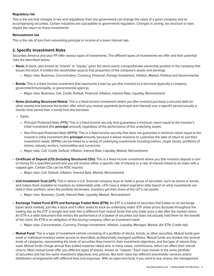## **Regulatory risk**

This is the risk that changes in law and regulations from any government can change the value of a given company and its accompanying securities. Certain industries are susceptible to government regulation. Changes in zoning, tax structure or laws impact the return on these investments.

## **Reinvestment risk**

This is the risk of loss from reinvesting principal or income at a lower interest rate.

# **2. Specific Investment Risks**

Securities America and your FP offer various types of investments. The different types of investments we offer and their potential risks are described below.

- **Stock:** A stock, also known as "shares" or "equity," gives the stock owner a proportionate ownership position in the company that issues the stock. It entitles the stockholder (you) to that proportion of the company's assets and earnings.
	- Major risks: Business, Concentration, Currency, Financial, Foreign Investment, Inflation, Market, Political and Governmental
- **Bonds:** This is a fixed income investment that represents a loan by you (the investor) to a borrower (typically a company, government/municipality, or governmental agency).
	- Major risks: Business, Call, Credit, Default, Financial, Inflation, Interest Rate, Liquidity, Reinvestment
- **Notes (Including Structured Notes):** This is a fixed-income investment where you (the investor) purchase a secured debt (or other assets) and become the lender, after which you receive payments (principal and interest) over a specific period (usually a shorter time period than a bond) from the borrower.
	- Types:
		- Principal Protected Note (PPN): This is a fixed-income security that guarantees a minimum return equal to the investor's initial investment (the **principal** amount), regardless of the performance of the underlying assets.
		- Non-Principal Protected Note (NPPN): This is a fixed-income security that does not guarantee a minimum return equal to the investor's initial investment (the **principal** amount), because it allows investors to customize the date of return to suit their investment needs. NPPNs can be linked to a variety of underlying investments including indices, single stocks, portfolios of shares, industry sectors, commodities and currencies.
		- Major risks: Call, Credit, Default, Inflation, Interest Rate, Liquidity, Market, Reinvestment
- **Certificate of Deposit (CD) (Including Structured CDs):** This is a fixed-income investment where you (the investor) deposit a sum of money for a specified period and you will receive either a specific rate of interest or a rate of interest linked to an index with a capped gain. Certain CDs can be FDIC insured.
	- Major risks: Call, Default, Inflation, Interest Rate, Market, Reinvestment
- **Unit Investment Trust (UIT):** This is where a U.S. financial company buys or holds a group of securities, such as stocks or bonds, and makes them available to investors as redeemable units. UITs have a stated expiration date based on what investments are held in their portfolio; when the portfolio terminates, investors get their share of the UIT's net assets.
	- Major risks: Business, Credit, Interest Rate, Liquidity, Market, Reinvestment
- **Exchange Traded Fund (ETF) and Exchange Traded Note (ETN):** An ETF is a basket of securities that trades on an exchange (open stock market), just like a stock and it often seeks to track an underlying index. ETF share prices fluctuate throughout the trading day as the ETF is bought and sold; this is different from mutual funds that only trade once a day after the market closes. An ETN is a debt instrument that mimics the performance of a basket of securities but does not actually hold them for the benefit of the client. An ETN is an obligation of the issuing company, often an investment bank.
	- Major risks: Concentration, Currency, Foreign Investment, Inflation, Liquidity, Manager, Market, (for ETN: Credit risk)
- **Mutual Fund:** This is a type of investment vehicle consisting of a portfolio of stocks, bonds, or other securities. Mutual funds give small or individual investors easier access to diversified, professionally managed portfolios. Mutual funds are divided into several kinds of categories, representing the kinds of securities they invest in, their investment objectives, and the type of returns they seek. Mutual funds charge annual fees (called expense ratios) and, in many cases, commissions, which can affect their overall returns. Most mutual funds offer you different types of shares, known as "classes." Each class invests in the same portfolio of securities and has the same investment objectives and policies. But each class has different shareholder services and/or distribution arrangements with different fees and expenses. With an open-end fund, if you want to buy shares, the management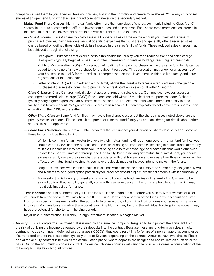company will sell them to you. They will take your money, add it to the portfolio, and create more shares. You always buy or sell shares of an open-end fund with the issuing fund company, never on the secondary market.

- **Mutual Fund Share Classes:** Many mutual funds offer more than one class of shares, commonly including Class A or C shares, in order to accommodate different investment needs and time horizon. Each share class represents an interest in the same mutual fund's investment portfolio but with different fees and expenses.
	- **Class A Shares:** Class A shares typically assess a front-end sales charge on the amount you invest at the time of purchase. However, they have lower annual operating expenses than C shares and generally offer a reduced sales charge based on defined thresholds of dollars invested in the same family of funds. These reduced sales charges may be achieved through the following:
		- Breakpoint Purchases that exceed certain thresholds that qualify you for a reduced front end sales charge. Breakpoints typically begin at \$25,000 and offer increasing discounts as holdings reach higher thresholds.
		- Rights of Accumulation (ROA) Aggregation of holdings from prior purchases within the same fund family can be added to the value of a new purchase for breakpoint purposes. This aggregation may allow for all accounts of your household to qualify for reduced sales charge based on total investments within the fund family and across registrations of the household.
		- Letter of Intent (LOI) This pledge to a fund family allows the investor to receive a reduced sales charge on all purchases if the investor commits to purchasing a breakpoint eligible amount within 13 months.
	- **Class C Shares:** Class C shares typically do not assess a front end sales charge. C shares do, however, assess a contingent deferred sales charge (CDSC) if the shares are sold within 12 months from the purchase date. C shares typically carry higher expenses than A shares of the same fund. The expense ratio varies from fund family to fund family but is typically about .75% greater for C shares than A shares. C shares typically do not convert to A shares upon expiration of the CDSC or thereafter.
	- **Other Share Classes:** Some fund families may have other shares classes but the shares classes noted above are the primary classes of shares. Please consult the prospectus for the fund family you are considering for details about other shares classes, if applicable.
	- **Share Class Selection:** There are a number of factors that can impact your decision on share class selection. Some of those factors include the following:
		- While it is common for an investor to diversify their mutual fund holdings among several mutual fund families, you should carefully evaluate the benefits and the costs of doing so. For example, investing in mutual funds offered by multiple fund families may preclude you from being able to take advantage of breakpoints that would otherwise be available had you invested through one fund family. Prior to making any mutual fund investment, you should always carefully review the sales charges associated with that transaction and evaluate how those charges will be affected by mutual fund investments you have previously made or that you intend to make in the future.
		- Long-term investors who intend to hold mutual funds within that same fund family for a number of years generally will find A shares to be a good option particularly for larger breakpoint eligible investment amounts within a fund family.
		- An investor that is looking for asset allocation flexibility across fund families will generally find C shares to be a good option. That flexibility generally come with greater expenses if the funds are held long-term which may negatively impact performance.
- **Time Horizon:** It should be noted that your Time Horizon is the length of time before you plan to withdraw most or all of your funds from the account. You may have a different Time Horizon for a portion of the funds in your account or a Time Horizon for specific investments within the accounts. In other words, a Long Time Horizon does not necessarily translate into use of A shares because while the account level Time Horizon may be long the individual holdings in the account may have the potential for shorter term holding periods.
- Major risks: Concentration, Currency, Foreign Investment, Inflation, Manager, Market
- **Annuity:** This is a long-term investment that is issued by an insurance company designed to help protect the annuitant from the risk of outliving the income generated by their deposits into the contract. Because these are long-term vehicles, annuity contracts include contingent deferred sales charges ("CDSCs") that would result in a forfeiture of a percentage of account value if surrendered prior to their expiration, typically three to 10 years depending on the contract. Annuities have two phases. Phase one of the annuity contract is known as the accumulation phase, where deposits are designed to accumulate on a tax-deferred basis. During the accumulation phase contract holders can choose annuities with any one or, in some cases, a combination of the following accumulation account options: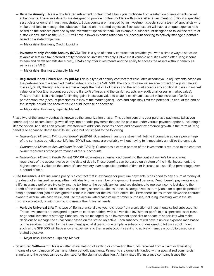- **Variable Annuity:** This is a tax-deferred retirement contract that allows you to choose from a selection of investments called subaccounts. These investments are designed to provide contract holders with a diversified investment portfolio in a specified asset class or general investment strategy. Subaccounts are managed by an investment specialist or a team of specialists who make decisions to manage the subaccount based on the stated objective. Each subaccount will have a unique expense ratio based on the services provided by the investment specialist team. For example, a subaccount designed to follow the return of a stock index, such as the S&P 500 will have a lower expense ratio than a subaccount seeking to actively manage a portfolio based on a stated objective.
	- Major risks: Business, Credit, Liquidity
- **Investment-only Variable Annuity (IOVA):** This is a type of annuity contract that provides you with a simple way to set aside taxable assets in a tax-deferred entity focused on investments only. Unlike most variable annuities which offer living income stream and death benefits (for a cost), IOVAs only offer investments and the ability to access the assets without penalty as early as age 59 ½.
	- Major risks: Business, Liquidity, Market
- **Registered Index Linked Annuity (RILA):** This is a type of annuity contract that calculates account value adjustments based on the performance of a specified market index, such as the S&P 500. The account value will receive protection against market losses typically through a buffer (carrier accepts the first xx% of losses and the account accepts any additional losses in market value) or a floor (the account accepts the first xx% of loses and the carrier accepts any additional losses in market value). This protection is in exchange for limiting gains in account value to a cap (a maximum account value increase of xx%) or a participation rate (account participates in xx% of the market gains). Fees and caps may limit the potential upside. At the end of the sample period, the account value could increase or decrease.
	- Major risks: Business, Liquidity, Market

Phase two of the annuity contract is known as the annuitization phase. This option converts your purchase payments (what you contribute) and accumulated growth (if any) into periodic payments that can be paid out under various payment options, including a lifetime option. Annuities can provide investors with additional benefits above and beyond tax deferred growth in the form of living benefits or enhanced death benefits including but not limited to the following.

- Guaranteed Minimum Withdrawal Benefit (GMWB): Guarantees investors a stream of lifetime income based on a percentage of the contract's benefit base. Lifetime GMWB payments are available without having to immediately annuitize the contract.
- Guaranteed Minimum Accumulation Benefit (GMAB): Guarantees a certain portion of the investment is returned to the contract owner regardless of the performance of the subaccounts.
- Guaranteed Minimum Death Benefit (GMDB): Guarantees an enhanced benefit to the contract owner's beneficiaries regardless of the account value on the date of death. These benefits can be based on a return of the initial investment, the highest contract value on the contract's anniversary over a specified period of time or increase at a specified percentage over a period of time.
- **Life Insurance:** A life insurance policy is a contract that in exchange for premium payments is designed to pay a sum of money at the death of an insured person, either individually or as a member of a group of insured persons. Death benefit payments under a life insurance policy are typically income tax free to the beneficiary(ies) and are designed to replace income lost due to the death of the insured or for multiple estate planning scenarios. Life insurance is categorized as term (viable for a specific period of time) or permanent (can be designed to remain in effect for the insured's entire life). Permanent life insurance allows the contract owner to accumulate cash value, and use the accumulated cash value for other purposes, including investing within the life insurance contract, or withdrawing it to meet other financial needs.
	- **Variable Universal Life:** This type of life insurance allows you to choose from a selection of investments called subaccounts. These investments are designed to provide contract holders with a diversified investment portfolio in a specified asset class or general investment strategy. Subaccounts are managed by an investment specialist or a team of specialists who make decisions to manage the subaccount based on the stated objective. Each subaccount will have a unique expense ratio based on the services provided by the investment specialist team. For example, a subaccount designed to follow a stock index such as the S&P 500 will have a lower expense ratio than a subaccount seeking to actively manage a portfolio based on a stated objective.
		- Major risks: Business, Liquidity, Market
- **Structured Settlement:** This is an alternative method of settling or converting the funds received from a claim or lawsuit by means of a combination of cash and future periodic payments. Payments are generally funded with a specialized commercial annuity and the payout can be customized for the claimant's situation. A highly rated life insurance company issues the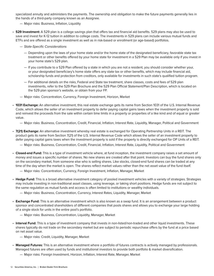specialized annuity and administers the payments. The ownership and obligation to make the future payments generally lies in the hands of a third-party company known as an Assignee.

— Major risks: Business, Inflation, Liquidity

• **529 Investment:** A 529 plan is a college savings plan that offers tax and financial aid benefits. 529 plans may also be used to save and invest for K-12 tuition in addition to college costs. The investments in 529 plans can include various mutual funds and ETFs and are offered as a single investment as well as in risk-based or enrollment (or age-based) portfolios.

- State-Specific Considerations
	- Depending upon the laws of your home state and/or the home state of the designated beneficiary, favorable state tax treatment or other benefits offered by your home state for investment in a 529 Plan may be available only if you invest in your home state's 529 plan.
	- If you contribute to a 529 Plan offered by a state in which you are not a resident, you should consider whether your, or your designated beneficiary's home state offers any state tax or other benefits, which may include financial aid, scholarship funds and protection from creditors, only available for investments in such state's qualified tuition program.
	- For additional details on the risks, Federal and State tax treatment, share classes, costs and fees of 529 plan investments, refer to the 529 Plan Brochure and the 529 Plan Official Statement/Plan Description, which is located on the 529 plan sponsor's website, or obtain from your FP.
- Major risks: Concentration, Currency, Foreign Investment, Horizon, Market
- **1031 Exchange:** An alternative investment, this real estate exchange gets its name from Section 1031 of the U.S. Internal Revenue Code, which allows the seller of an investment property to defer paying capital gains taxes when the investment property is sold and reinvest the proceeds from the sale within certain time limits in a property or properties of a like kind and of equal or greater value.
	- Major risks: Business, Concentration, Credit, Financial, Inflation, Interest Rate, Liquidity, Manager, Political and Government
- **7(21) Exchange:** An alternative investment whereby real estate is exchanged for Operating Partnership Units in a REIT. The product gets its name from Section 7(21) of the U.S. Internal Revenue Code which allows the seller of an investment property to defer paying capital gains taxes when the investment property is sold if the property is directly exchanged for OP Units of a REIT.
	- Major risks: Business, Concentration, Credit, Financial, Inflation, Interest Rate, Liquidity, Political and Government
- **Closed-end Fund:** This is a type of investment vehicle where, at fund inception, the investment company raises a set amount of money and issues a specific number of shares. No new shares are created after that point. Investors can buy the fund shares only on the secondary market, from someone else who is selling shares. Like stocks, closed-end fund shares can be traded at any time of the day when the market is open. The shares reflect market values rather than the net asset value of the fund itself.
	- Major risks: Concentration, Currency, Foreign Investment, Inflation, Manager, Market
- **Hedge Fund:** This is a broad alternative investment category of pooled investment vehicles with a variety of strategies. Strategies may include investing in non-traditional asset classes, using leverage, or taking short positions. Hedge funds are not subject to the same regulation as mutual funds and access is often limited to institutions or wealthy individuals.
	- Major risks: Business, Concentration, Currency, Interest Rates, Liquidity, Manager, Market
- **Exchange Fund:** This is an alternative investment which is also known as a swap fund. It is an arrangement between a product sponsor and concentrated shareholders of different companies that pools shares and allows you to exchange your large holding of a single stock for units in the entire pool's portfolio.
	- Major risks: Business, Concentration, Liquidity, Manager, Market
- **Interval Fund:** This is a type of investment company that invests in non-listed/non-traded and other liquid investments. These shares typically do not trade on the secondary market but are subject to periodic repurchase offers by the fund at a price based on net asset value.
	- Major risks: Credit, Liquidity, Manager, Market
- **Managed Futures:** This is an alternative investment where a portfolio of futures contracts is actively managed by professionals. Managed futures are often used by funds and institutional investors to provide both portfolio & market diversification.
	- Major risks: Foreign Investment, Horizon, Inflation, Interest Rate, Manager, Market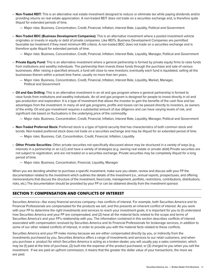- **Non-Traded REIT:** This is an alternative real estate investment designed to reduce or eliminate tax while paying dividends and/or providing returns on real estate appreciation. A non-traded REIT does not trade on a securities exchange and, is therefore quite illiquid for extended periods of time.
	- Major risks: Business, Concentration, Credit, Financial, Inflation, Interest Rate, Liquidity, Political and Government
- **Non-Traded BDC (Business Development Companies):** This is an alternative investment where a pooled investment vehicle originates or invests in equity or debt of private companies. Like REITs, Business Development Companies are permitted favorable tax treatment if they meet minimum IRS criteria. A non-traded BDC does not trade on a securities exchange and is therefore quite illiquid for extended periods of time.
	- Major risks: Business, Concentration, Credit, Financial, Inflation, Interest Rate, Liquidity, Manager, Political and Government
- **Private Equity Fund:** This is an alternative investment where a general partnership is formed by private equity firms to raise funds from institutions and wealthy individuals. The partnership then invests these funds through the purchase and sale of various businesses. After raising a specified amount, a fund will close to new investors; eventually each fund is liquidated, selling all the businesses therein within a preset time frame, usually no more than ten years.
	- Major risks: Business, Concentration, Credit, Financial, Inflation, Interest Rate, Liquidity, Market, Manager, Political and Government
- **Oil and Gas Drilling:** This is an alternative investment in an oil and gas program where a general partnership is formed to raise funds from institutions and wealthy individuals. An oil and gas program is designed for people to invest directly in oil and gas production and exploration. It is a type of investment that allows the investor to gain the benefits of the cash flow and tax advantages from the investment. In many oil and gas programs, profits and losses can be passed directly to investors, as owners of the entity. Oil and gas investment requires a substantial amount of due diligence and can have varying levels of risk, and significant risk based on fluctuations in the underlying price of the commodity.
	- Major risks: Business, Concentration, Credit, Financial, Inflation, Interest Rate, Liquidity, Manager, Political and Government
- **Non-Traded Preferred Stock:** Preferred stock is a type of hybrid security that has characteristics of both common stock and bonds. Non-traded preferred stock does not trade on a securities exchange and may be illiquid for an extended period of time.
	- Major risks: Business, Call, Concentration, Credit, Financial, Inflation, Liquidity
- **Other Private Securities:** Other private securities not specifically discussed above may be structured in a variety of ways (e.g, interests in a partnership or an LLC) and have a variety of strategies (e.g. owning real estate or private debt) Private securities are not subject to registration, and are not traded on a securities exchange. Private securities may be completely illiquid for a long period of time.
	- Major risks: Business, Concentration, Financial, Liquidity, Manager

When you are deciding whether to purchase a specific investment, make sure you obtain, review and discuss with your FP the documentation related to the investment which outlines the details of the investment (i.e., annual reports, prospectuses, and offering memorandums that discuss the structure of the investment, fees/costs, management, portfolio, restrictions, contributions, distributions, risks, etc.) The documentation should be provided by your FP or can be obtained directly from the investment sponsor.

## **SECTION 7: COMPENSATION AND CONFLICTS OF INTEREST**

Securities America—like every financial services company—has conflicts of interest. For example, both Securities America and its Financial Professionals are compensated for the products we sell, and this presents an inherent conflict of interest. As you work with your FP to determine the right investments and services to reach your investment goals, it is important for you to (1) understand how Securities America and your FP are compensated, and (2) have all the material facts related to the scope and terms of Securities America's and your FP's relationship with you. The information contained in this section describes conflicts of interest associated with compensation received by Securities America and its Financial Professionals for brokerage services, in addition to some of our other related conflicts of interest, in order to provide you with the material facts related to these conflicts.

Securities America and your FP make money because we are either compensated directly by you, or indirectly from the investments purchased by you. Securities America offers a range of investments and services to our retail customers, and when you purchase a product for which Securities America is acting as a broker-dealer, you will usually pay a sales commission, which may be (1) paid at the time of purchase, (2) built into the expense of the product purchased, or (3) charged to you when you sell the investment. If we are paid an upfront commission, it means that the greater the dollar value of your transactions, the more we are paid.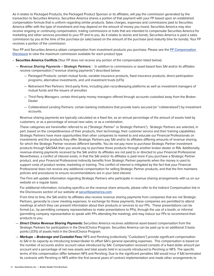As it relates to Packaged Products, the Packaged Product Sponsor or its affiliates, will pay the commission generated by the transaction to Securities America. Securities America shares a portion of that payment with your FP based upon an established compensation formula that is uniform regarding similar products. Sales charges, expenses and commissions paid to Securities America differ with the type of investment and may depend on the amount of money you invest. Securities America may also receive ongoing or continuing compensation, trailing commissions or trails that are intended to compensate Securities America for marketing and other services provided to your FP and to you. As it relates to stocks and bonds, Securities America is paid a sales commission by you at the time of the purchase (or sale) based on the amount of the purchase (and maturity time for bonds). Your FP receives a portion of the commission.

Your FP and Securities America obtain compensation from investment products you purchase. Please see the **[FP Compensation](http://www.securitiesamerica.com/fp-comp)  [Disclosure](http://www.securitiesamerica.com/fp-comp)** to view the maximum commission available for each product type.

- **Securities America Conflicts** (Your FP does not receive any portion of the compensation listed below):
	- **Revenue Sharing Payments – Strategic Partners:** : In addition to commissions or asset-based fees SAI and/or its affiliates receive compensation ("revenue sharing payments") described below:
		- Packaged Products: certain mutual funds, variable insurance products, fixed insurance products, direct participation programs, alternative investments, and unit investment trusts (UITs)
		- Retirement Plan Partners: third-party firms, including plan recordkeeping platforms as well as investment managers of mutual funds and the issuers of annuities
		- Third Party Managers: certain third-party money managers offered through accounts custodied away from the Broker-Dealer
		- Collateralized Lending Partners: certain banking institutions that provide loans secured (or "collateralized") by investment accounts.

 Revenue sharing payments are typically calculated as a fixed fee, as an annual percentage of the amount of assets held by customers, or as a percentage of annual new sales, or as a combination.

 These categories are hereinafter referred to as ("Strategic Partner" or Strategic Partners"). Strategic Partners are selected, in part, based on the competitiveness of their products, their technology, their customer service and their training capabilities. Strategic Partners have more opportunities than other companies to market to and educate our Financial Professionals on investments and the products they offer. Strategic Partners pay SAI and/or its affiliates differing amounts of revenue sharing, for which the Strategic Partner receives different benefits. You do not pay more to purchase Strategic Partner investment products through SAI/SAA than you would pay to purchase those products through another broker-dealer or RIA. Additionally, revenue-sharing payments received by the SAI and/or its affiliates are not paid to or directed to your Financial Professional. Nevertheless, a conflict of interest exists, in that the SAI and/or its affiliates is paid more if you purchase a Strategic Partner product, and your Financial Professional indirectly benefits from Strategic Partner payments when the money is used to support costs of product review, marketing or training. This conflict of interest is mitigated by the fact that your Financial Professional does not receive any additional compensation for selling Strategic Partner products, and that the firm maintains policies and procedures to ensure recommendations are in your best interest.

 The Firm will update information regarding Strategic Partners who participate in revenue sharing arrangements with us on our website on a regular basis.

 For additional information, including specifics on the revenue share amounts, please refer to the Indirect Compensation link in the Disclosures section of our website at **[securitiesamerica.com](securitiesamerica.com/disclosures)**.

 From time to time, the SAI and/or its affiliates also receive revenue sharing payments from companies that are not Strategic Partners, generally to cover meeting expenses. In exchange for these payments, these companies are permitted to attend meetings at which they can present information about their products or services to our FPs. These presentations can be formal (i.e., by permitting company representatives to make presentations to FPs), through the use of a booth, or informal (permitting company representative to speak with FPs attending the meeting), and may induce our FPs to recommend their products to you.

- **Direct Choice Revenue Sharing Payments:** Securities America receives additional asset-based compensation from the Strategic Partners for participation in the DirectChoice Program. Securities America can be paid up to an additional 3 basis points (.03%) of assets held in the DirectChoice Program.
- **Markups Brokerage and Custodial Fees:** NFS and Pershing (collectively "Custodians") provide significant compensation to SAI in its capacity as introducing broker/dealer to offset SAI's general operating expenses. This compensation is based on the number of accounts and/or account value introduced by SAI. Compensation received consists of a fixed dollar amount per account and a percentage of net new assets and total assets held in accounts introduced to Pershing or NFS. The specific terms of this compensation differ between NFS and Pershing. Due to the significant penalties SAI would incur if SAI terminated its contracts with Pershing or NFS within the first several years of contract implementation and made other arrangements to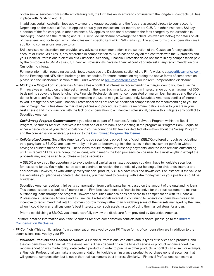obtain similar services from a different clearing firm, the Firm has an incentive to continue with the long-term contracts SAI has in place with Pershing and NFS.

 In addition, certain custodian fees apply to your brokerage accounts, and the fees are assessed directly to your account. Depending on the custodial fee, it is applied annually, per transaction, per month, or per CUSIP. In other instances, SAI pays a portion of the fee charged. In other instances, SAI applies an additional amount to the fees charged by the custodian (a "markup"). Please see the Pershing and NFS Client Fee Disclosure brokerage fee schedules (website below) for details on all of these fees, and footnote 1, which identifies each specific item which SAI marks up. The above forms of compensation are in addition to commissions you pay to us.

 SAI exercises no discretion, nor provides any advice or recommendation in the selection of the Custodian for any specific account or client. As a result, any difference in compensation to SAI is based solely on the contracts with the Custodians and your Financial Professional's election of a Custodian. Secondly, Financial Professionals do not share in any compensation paid by the custodians to SAI. As a result, Financial Professionals have no financial conflict of interest in any recommendation of a Custodian to clients.

 For more information regarding custodial fees, please see the Disclosures section of the Firm's website at **[securitiesamerica.com](securitiesamerica.com/disclosures)** for the Pershing and NFS client brokerage fee schedules. For more information regarding the above forms of compensation, please see the Disclosures section of the Firm's website at **[securitiesamerica.com](securitiesamerica.com/indirect-comp)** for Indirect Compensation disclosure.

- **Markups Margin Loans:** Securities America has a conflict of interest in recommending a margin loan to you because the Firm receives a markup on the interest charged on the loan. Such markups on margin interest range up to a maximum of 300 basis points above the base lending rate. Financial Professionals are not compensated on margin loan balances and therefore do not have a conflict of interest in recommending the use of margin. Consequently, Securities America's conflict of interest to you is mitigated since your Financial Professional does not receive additional compensation for recommending to you the use of margin. Securities America maintains policies and procedures to ensure recommendations made to you are in your best interest and in conjunction with the lack of compensation to a Financial Professional, believe this mitigates any conflict to Securities America.
- **Cash Sweep Program Compensation:** If you elect to be part of Securities America's Sweep Program within the Retail Program, Securities America receives a fee from one or more banks participating in the program (a "Program Bank") equal to either a percentage of your deposit balance in your account or a flat fee. For detailed information about the Sweep Program and the compensation received, please go to the **[Cash Sweep Program Disclosures](https://www.securitiesamerica.com/disclosures-sweep-program-resources)**.
- **Collateralized Loans:** Securities America offers you securities backed lines of credit (SBLOCs) offered through participating third party banks. SBLOCs are loans whereby an investor borrows against the assets in their investment portfolio without having to liquidate these securities. These loans require monthly interest-only payments, and the loan remains outstanding until it is repaid. SBLOCs are non-purpose loans, which means the loan proceeds can be used for almost anything except the proceeds may not be used to purchase or trade securities.

 A SBLOC allows you the opportunity to avoid potential capital gains taxes because you don't have to liquidate securities for access to funds. You might also be able to continue to receive the benefits of your holdings, like dividends, interest and appreciation. However, as with virtually every financial product, SBLOCs have risks and downsides. For instance, if the value of the securities you pledge as collateral decreases, you may need to come up with extra money fast, or your positions could be liquidated.

 Securities America receives third party compensation from participants banks based on the amount of the outstanding loans. This compensation is a conflict of interest to the Firm because there is a financial incentive for the retail customer to maintain outstanding loans through the program. However, Securities America does not share this compensation with its Financial Professionals. Securities America and its Financial Professionals interest in continuing to receive compensation gives it an incentive to recommend that retail customers borrow money rather than liquidating some of their assets managed by the Firm, when it could be in a retail customer's best interest to sell such assets instead of using them as collateral for a loan.

Prior to establishing a SBLOC, you should carefully review the disclosure form provided by Securities America.

 For more detailed information about the Securities America compensation conflicts noted above, please go to the **[Indirect](http://www.securitiesamerica.com/indirect-comp)  [Compensation Disclosure](http://www.securitiesamerica.com/indirect-comp)**.

- **FP Conflicts** (This conflict arises from compensation received by your FP. These forms of compensation are in addition to the commissions received by your FP).
	- **Insurance Products and General Securities:** A Financial Professional can offer various types of services and products, and the compensation the Financial Professional earns differs depending on the type of service or product recommended. If a recommendation was made to liquidate certain products in order to purchase other products, a conflict can arise. For example, a Financial Professional can make a recommendation to liquidate an insurance product to purchase general securities that will generate compensation but is not in the retail customer's best interest. Similarly, a Financial Professional can make a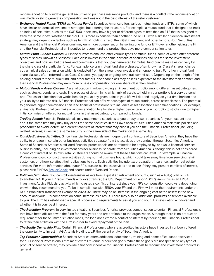recommendation to liquidate general securities to purchase insurance products, and there is a conflict if the recommendation was made solely to generate compensation and was not in the best interest of the retail customer.

- **Exchange Traded Funds (ETFs) vs. Mutual Funds:** Securities America offers various mutual funds and ETFs, some of which have similar or identical investment strategies but differing fee structures. For example, a mutual fund that is designed to track an index of securities, such as the S&P 500 Index, may have higher or different types of fees than an ETF that is designed to track the same index. Whether a fund or ETF is more expensive than another fund or ETF with a similar or identical investment strategy may depend on factors such as length of holding, size of the initial investment and other factors. Both Securities America and the Financial Professional may earn more compensation by selling one fund or ETF over another, giving the Firm and the Financial Professional an incentive to recommend the product that pays more compensation to us.
- **Mutual Fund Share Classes:** A Financial Professional can offer various types of mutual funds, some of which offer different types of shares, known as "classes." Each class invests in the same portfolio of securities and has the same investment objectives and policies, but the fees and commissions that you pay generated by mutual fund purchases sales can vary by the share class of a particular fund. For example, certain mutual fund share classes, often known as Class A shares, charge you an initial sales commission which is deducted from the amount you invest, and an ongoing trail. For other mutual fund share classes, often referred to as Class C shares, you pay an ongoing level trail commission. Depending on the length of the holding period for the mutual fund, and other factors, one share class may be less expensive to the investor than another, and the Financial Professional may earn more or less compensation for one share class than another.
- **Mutual Funds Asset Classes:** Asset allocation involves dividing an investment portfolio among different asset categories, such as stocks, bonds, and cash. The process of determining which mix of assets to hold in your portfolio is a very personal one. The asset allocation that works best for you at any given point in your life will depend largely on your time horizon and your ability to tolerate risk. A Financial Professional can offer various types of mutual funds, across asset classes. The potential to generate higher commissions can lead financial professionals to influence asset allocations recommendations. For example, a Financial Professional can make a recommendation to allocate a higher percentage of your portfolio to stocks due to higher initial commission offered for mutual funds in that asset category compared to bonds.
- **Trading Ahead:** Financial Professionals may recommend securities to you or buy or sell securities for your account at or about the same time they may buy or sell the same securities in their own account. Securities America maintains policies and procedures to avoid, detect, and correct conflicts of interest that may arise if you and the Financial Professional (including related persons) invest in the same security on the same side of the market on the same day.
- **Outside Business Activities:** Since Financial Professionals are independent contractors of Securities America, they have the ability to engage in certain other business activities separate from the activities they conduct through Securities America. Some of Securities America's affiliated financial professionals are permitted to be employed by, or own, a financial services business entity, including an investment adviser business, separate from Securities America. Although this is not considered a conflict of interest on its own, retail customers should be aware that these situations can exist. For example, a Financial Professional could conduct these activities during normal business hours, which could take away time from servicing retail customers or otherwise affect their obligations to you. Such activities include tax preparation, insurance, and/or real estate services. For more information about your FP's outside business activities and to see if they may present conflicts of interest, please visit FINRA's **[BrokerCheck](https://brokercheck.finra.org/)** and search under "Detailed Report."
- **Rollovers/Transfers:** You can rollover/transfer assets from a qualified retirement accounts, such as a 401(k) plan or IRA, to another IRA. If your FP recommends a rollover/transfer, the U.S. Department of Labor ("DOL") views this as an ERISA Investment Advice Fiduciary activity which creates a conflict of interest since your FP's compensation could vary depending on what they recommend to you. To be in compliance with ERISA, your FP and the Firm will meet the requirements under the DOL's Prohibited Transaction Exemption 2020-02. There may be an increase in the ongoing cost of the assets in the new account and your FP's compensation could increase as a result. There may also be additional products or services available to you. The Firm has established a special process and requirements to assist you and your FP in evaluating a rollover and whether it is in your best interest.
- **The Retention Program:** In very limited situations Securities America provides compensation to certain Financial Professionals that have been affiliated with the Firm for many years and are profitable to the organization. Although there is no production requirement for these limited situation loans, the loan does create a conflict of interest by requiring the Financial Professional to retain their affiliation with the Firm in order to avoid repayment of the loan.
- **The Equity Ownership Plan:** Certain Financial Professionals who are accredited investors have invested in or been offered the opportunity to invest in AG Artemis Holdings, L.P, the parent entity of Securities America.
- **Top Producer Opportunities:** Securities America offers additional educational, training and home office support services for our Financial Professionals that meet overall revenue production goals. While these goals are not specific to any type of product or service offered, they provide a financial incentive for Financial Professionals to recommend investment products in general.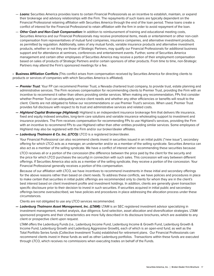- **Loans:** Securities America provides loans to certain Financial Professionals as an incentive to establish, maintain, or expand their brokerage and advisory relationships with the Firm. The repayments of such loans are typically dependent on the Financial Professional retaining affiliation with Securities America through the end of the loan period. These loans create a conflict of interest for the Financial Professional to retain affiliation with the firm in order to avoid repayment of the loan.
- **Other Cash and Non-Cash Compensation:** In addition to reimbursement of training and educational meeting costs, Securities America and our Financial Professionals may receive promotional items, meals or entertainment or other non-cash compensation from representatives of mutual fund companies, insurance companies, and alternative investment products, as permitted by regulation. Additionally, sales of any mutual funds, variable insurance products and alternative investment products, whether or not they are those of Strategic Partners, may qualify our Financial Professionals for additional business support and for attendance at seminars, conferences and entertainment events. Further, some of Securities America management and certain other employees of Securities America may receive a portion of their employment compensation based on sales of products of Strategic Partners and/or certain sponsors of other products. From time to time, non-Strategic Partners may attend the Firm's sponsored meetings for a fee.

**• Business Affiliation Conflicts** (This conflict arises from compensation received by Securities America for directing clients to products or services of companies with which Securities America is affiliated).

- **Premier Trust**: Your FP can recommend Premier Trust, a Nevada chartered trust company, to provide trust, estate planning and administrative services. The Firm receives compensation for recommending clients to Premier Trust, providing the Firm with an incentive to recommend it rather than others providing similar services. When making any recommendation, FPs first consider whether Premier Trust can adequately service client needs and whether any other efficiencies or benefits will result to the client. Clients are not obligated to follow our recommendations or use Premier Trust's services. When used, Premier Trust provides full disclosure with respect to its trust and administrative services and related costs.
- **Highland Capital Brokerage (Highland):** Highland is an independent insurance brokerage firm that delivers life insurance, fixed and equity indexed annuities, long-term care solutions and variable insurance wholesaling support to investment and insurance providers. The Firm receives compensation for recommending FPs to use Highland's services, providing the Firm with an incentive to recommend FPs to use Highland rather than other entities providing similar services. Some employees of Highland may also be registered with the Firm and/or our broker/dealer affiliates.
- **Ladenburg Thalmann & Co. Inc. (LTCO):** LTCO is a registered broker/dealer.

 Your Financial Professional can also recommend clients invest in securities issued in an initial public ("new issue"), secondary offering for which LTCO acts as a manager, an underwriter and/or as a member of the selling syndicate. Securities America can also act as a member of the selling syndicate. We have a conflict of interest when recommending these securities because:

 LTCO receives all or a portion of the concession (the difference between the price paid by the client for the security and the price for which LTCO purchases the security) in connection with such sales. This concession will vary between different offerings. If Securities America also acts as a member of the selling syndicate, they receive a portion of the concession. Your Financial Professional generally receives a portion of this compensation.

 Because of our affiliation with LTCO, we have incentives to recommend investments in these initial and secondary offerings for the above reasons rather than based on client needs. To address these conflicts, we have policies and procedures in place to make certain that securities in initial public offerings are recommended only to clients for whom they are in the client's best interest based on client investment profile and investment holdings. In addition, clients are generally given transaction specific disclosure prior to their decision to invest in such securities. If securities acquired in initial public and secondary offerings become oversubscribed, we have policies and procedures in place addressing the allocation process under these circumstances.

Clients are not obligated to use any LTCO services recommended.

**— Ladenburg Thalmann Asset Management, Inc. (LTAM):** LTAM is an SEC registered investment advisor specializing in investment management, market analysis, due diligence, fund selection, asset allocation and diversification strategies. LTAM sponsored programs and their characteristics are more fully described in its disclosure brochures, which are available to any client or prospective client upon request.

 LTAM offers the Ladenburg Funds (i.e., Ladenburg Income Fund, Ladenburg Income & Growth Fund, Ladenburg Growth & Income Fund, Ladenburg Growth and Ladenburg Aggressive Growth), each of which is an open-end fund; as well as the Total Portfolio Series funds (Collective Investment Trusts) established for retirement plans. Our Financial Professionals can recommend clients invest in these funds as well as other Ladenburg portfolios. Transactions within these funds are executed through LTCO, which receives no commissions when executing trades on behalf of the Funds.